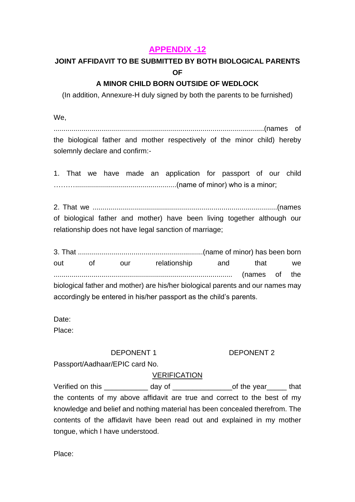## **APPENDIX -12**

# **JOINT AFFIDAVIT TO BE SUBMITTED BY BOTH BIOLOGICAL PARENTS OF**

## **A MINOR CHILD BORN OUTSIDE OF WEDLOCK**

(In addition, Annexure-H duly signed by both the parents to be furnished)

We,

..........................................................................................................(names of the biological father and mother respectively of the minor child) hereby solemnly declare and confirm:-

1. That we have made an application for passport of our child ………...................................................(name of minor) who is a minor;

2. That we .............................................................................................(names of biological father and mother) have been living together although our relationship does not have legal sanction of marriage;

3. That ...............................................................(name of minor) has been born out of our relationship and that we .......................................................................................... (names of the biological father and mother) are his/her biological parents and our names may accordingly be entered in his/her passport as the child's parents.

Date:

Place:

### DEPONENT 1 DEPONENT 2

Passport/Aadhaar/EPIC card No.

### VERIFICATION

Verified on this \_\_\_\_\_\_\_\_\_\_\_\_\_ day of \_\_\_\_\_\_\_\_\_\_\_\_\_\_\_\_\_\_\_\_of the year\_\_\_\_\_\_\_ that the contents of my above affidavit are true and correct to the best of my knowledge and belief and nothing material has been concealed therefrom. The contents of the affidavit have been read out and explained in my mother tongue, which I have understood.

Place: